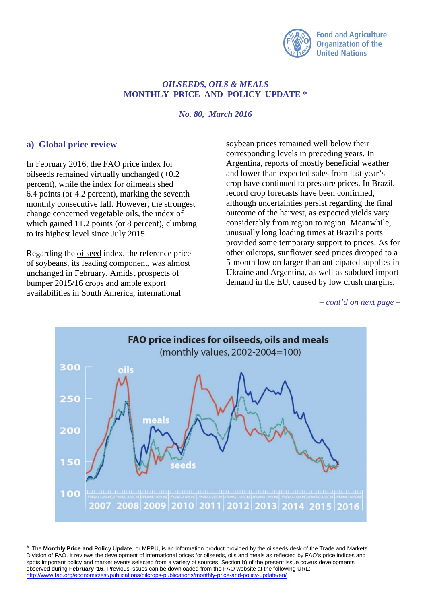

## *OILSEEDS, OILS & MEALS* **MONTHLY PRICE AND POLICY UPDATE \***

*No. 80, March 2016*

## **a) Global price review**

In February 2016, the FAO price index for oilseeds remained virtually unchanged (+0.2 percent), while the index for oilmeals shed 6.4 points (or 4.2 percent), marking the seventh monthly consecutive fall. However, the strongest change concerned vegetable oils, the index of which gained 11.2 points (or 8 percent), climbing to its highest level since July 2015.

Regarding the oilseed index, the reference price of soybeans, its leading component, was almost unchanged in February. Amidst prospects of bumper 2015/16 crops and ample export availabilities in South America, international

soybean prices remained well below their corresponding levels in preceding years. In Argentina, reports of mostly beneficial weather and lower than expected sales from last year's crop have continued to pressure prices. In Brazil, record crop forecasts have been confirmed, although uncertainties persist regarding the final outcome of the harvest, as expected yields vary considerably from region to region. Meanwhile, unusually long loading times at Brazil's ports provided some temporary support to prices. As for other oilcrops, sunflower seed prices dropped to a 5-month low on larger than anticipated supplies in Ukraine and Argentina, as well as subdued import demand in the EU, caused by low crush margins.

*– cont'd on next page –*



\* The **Monthly Price and Policy Update**, or MPPU, is an information product provided by the oilseeds desk of the Trade and Markets Division of FAO. It reviews the development of international prices for oilseeds, oils and meals as reflected by FAO's price indices and spots important policy and market events selected from a variety of sources. Section b) of the present issue covers developments observed during **February '16**. Previous issues can be downloaded from the FAO website at the following URL: <http://www.fao.org/economic/est/publications/oilcrops-publications/monthly-price-and-policy-update/en/>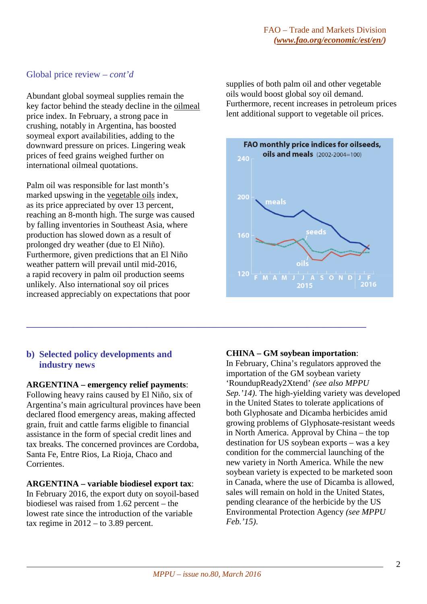# Global price review *– cont'd*

Abundant global soymeal supplies remain the key factor behind the steady decline in the oilmeal price index. In February, a strong pace in crushing, notably in Argentina, has boosted soymeal export availabilities, adding to the downward pressure on prices. Lingering weak prices of feed grains weighed further on international oilmeal quotations.

Palm oil was responsible for last month's marked upswing in the vegetable oils index, as its price appreciated by over 13 percent, reaching an 8-month high. The surge was caused by falling inventories in Southeast Asia, where production has slowed down as a result of prolonged dry weather (due to El Niño). Furthermore, given predictions that an El Niño weather pattern will prevail until mid-2016, a rapid recovery in palm oil production seems unlikely. Also international soy oil prices increased appreciably on expectations that poor

supplies of both palm oil and other vegetable oils would boost global soy oil demand. Furthermore, recent increases in petroleum prices lent additional support to vegetable oil prices.



# **b) Selected policy developments and industry news**

### **ARGENTINA – emergency relief payments**:

Following heavy rains caused by El Niño, six of Argentina's main agricultural provinces have been declared flood emergency areas, making affected grain, fruit and cattle farms eligible to financial assistance in the form of special credit lines and tax breaks. The concerned provinces are Cordoba, Santa Fe, Entre Rios, La Rioja, Chaco and Corrientes.

## **ARGENTINA – variable biodiesel export tax**:

In February 2016, the export duty on soyoil-based biodiesel was raised from 1.62 percent – the lowest rate since the introduction of the variable tax regime in  $2012 -$  to 3.89 percent.

## **CHINA – GM soybean importation**:

In February, China's regulators approved the importation of the GM soybean variety 'RoundupReady2Xtend' *(see also MPPU Sep.'14)*. The high-yielding variety was developed in the United States to tolerate applications of both Glyphosate and Dicamba herbicides amid growing problems of Glyphosate-resistant weeds in North America. Approval by China – the top destination for US soybean exports – was a key condition for the commercial launching of the new variety in North America. While the new soybean variety is expected to be marketed soon in Canada, where the use of Dicamba is allowed, sales will remain on hold in the United States, pending clearance of the herbicide by the US Environmental Protection Agency *(see MPPU Feb.'15)*.

**\_\_\_\_\_\_\_\_\_\_\_\_\_\_\_\_\_\_\_\_\_\_\_\_\_\_\_\_\_\_\_\_\_\_\_\_\_\_\_\_\_\_\_\_\_\_\_\_\_\_\_\_\_\_\_\_\_\_\_\_\_\_\_\_\_\_\_\_\_\_\_\_\_\_\_\_\_\_\_**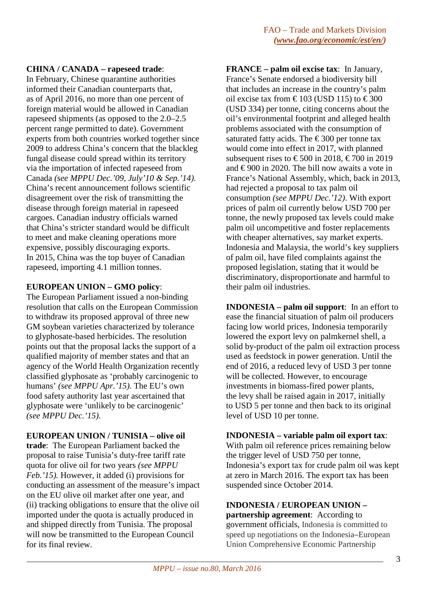## **CHINA / CANADA – rapeseed trade**:

In February, Chinese quarantine authorities informed their Canadian counterparts that, as of April 2016, no more than one percent of foreign material would be allowed in Canadian rapeseed shipments (as opposed to the 2.0–2.5 percent range permitted to date). Government experts from both countries worked together since 2009 to address China's concern that the blackleg fungal disease could spread within its territory via the importation of infected rapeseed from Canada *(see MPPU Dec.'09, July'10 & Sep.'14)*. China's recent announcement follows scientific disagreement over the risk of transmitting the disease through foreign material in rapeseed cargoes. Canadian industry officials warned that China's stricter standard would be difficult to meet and make cleaning operations more expensive, possibly discouraging exports. In 2015, China was the top buyer of Canadian rapeseed, importing 4.1 million tonnes.

## **EUROPEAN UNION – GMO policy**:

The European Parliament issued a non-binding resolution that calls on the European Commission to withdraw its proposed approval of three new GM soybean varieties characterized by tolerance to glyphosate-based herbicides. The resolution points out that the proposal lacks the support of a qualified majority of member states and that an agency of the World Health Organization recently classified glyphosate as 'probably carcinogenic to humans' *(see MPPU Apr.'15)*. The EU's own food safety authority last year ascertained that glyphosate were 'unlikely to be carcinogenic' *(see MPPU Dec.'15)*.

### **EUROPEAN UNION / TUNISIA – olive oil**

**trade**: The European Parliament backed the proposal to raise Tunisia's duty-free tariff rate quota for olive oil for two years *(see MPPU Feb.'15).* However, it added (i) provisions for conducting an assessment of the measure's impact on the EU olive oil market after one year, and (ii) tracking obligations to ensure that the olive oil imported under the quota is actually produced in and shipped directly from Tunisia. The proposal will now be transmitted to the European Council for its final review.

**FRANCE – palm oil excise tax**: In January, France's Senate endorsed a biodiversity bill that includes an increase in the country's palm oil excise tax from €103 (USD 115) to €300 (USD 334) per tonne, citing concerns about the oil's environmental footprint and alleged health problems associated with the consumption of saturated fatty acids. The  $\epsilon$ 300 per tonne tax would come into effect in 2017, with planned subsequent rises to  $\text{\textsterling}500$  in 2018,  $\text{\textsterling}700$  in 2019 and  $\epsilon$ 900 in 2020. The bill now awaits a vote in France's National Assembly, which, back in 2013, had rejected a proposal to tax palm oil consumption *(see MPPU Dec.'12)*. With export prices of palm oil currently below USD 700 per tonne, the newly proposed tax levels could make palm oil uncompetitive and foster replacements with cheaper alternatives, say market experts. Indonesia and Malaysia, the world's key suppliers of palm oil, have filed complaints against the proposed legislation, stating that it would be discriminatory, disproportionate and harmful to their palm oil industries.

**INDONESIA – palm oil support**: In an effort to ease the financial situation of palm oil producers facing low world prices, Indonesia temporarily lowered the export levy on palmkernel shell, a solid by-product of the palm oil extraction process used as feedstock in power generation. Until the end of 2016, a reduced levy of USD 3 per tonne will be collected. However, to encourage investments in biomass-fired power plants, the levy shall be raised again in 2017, initially to USD 5 per tonne and then back to its original level of USD 10 per tonne.

### **INDONESIA – variable palm oil export tax**:

With palm oil reference prices remaining below the trigger level of USD 750 per tonne, Indonesia's export tax for crude palm oil was kept at zero in March 2016. The export tax has been suspended since October 2014.

#### **INDONESIA / EUROPEAN UNION – partnership agreement**: According to

government officials, Indonesia is committed to speed up negotiations on the Indonesia–European Union Comprehensive Economic Partnership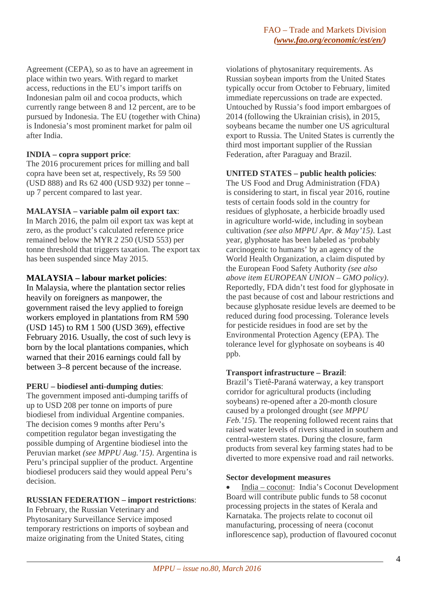Agreement (CEPA), so as to have an agreement in place within two years. With regard to market access, reductions in the EU's import tariffs on Indonesian palm oil and cocoa products, which currently range between 8 and 12 percent, are to be pursued by Indonesia. The EU (together with China) is Indonesia's most prominent market for palm oil after India.

## **INDIA – copra support price**:

The 2016 procurement prices for milling and ball copra have been set at, respectively, Rs 59 500 (USD 888) and Rs 62 400 (USD 932) per tonne – up 7 percent compared to last year.

## **MALAYSIA – variable palm oil export tax**:

In March 2016, the palm oil export tax was kept at zero, as the product's calculated reference price remained below the MYR 2 250 (USD 553) per tonne threshold that triggers taxation. The export tax has been suspended since May 2015.

## **MALAYSIA – labour market policies**:

In Malaysia, where the plantation sector relies heavily on foreigners as manpower, the government raised the levy applied to foreign workers employed in plantations from RM 590 (USD 145) to RM 1 500 (USD 369), effective February 2016. Usually, the cost of such levy is born by the local plantations companies, which warned that their 2016 earnings could fall by between 3–8 percent because of the increase.

### **PERU – biodiesel anti-dumping duties**:

The government imposed anti-dumping tariffs of up to USD 208 per tonne on imports of pure biodiesel from individual Argentine companies. The decision comes 9 months after Peru's competition regulator began investigating the possible dumping of Argentine biodiesel into the Peruvian market *(see MPPU Aug.'15)*. Argentina is Peru's principal supplier of the product. Argentine biodiesel producers said they would appeal Peru's decision.

## **RUSSIAN FEDERATION – import restrictions**:

In February, the Russian Veterinary and Phytosanitary Surveillance Service imposed temporary restrictions on imports of soybean and maize originating from the United States, citing

violations of phytosanitary requirements. As Russian soybean imports from the United States typically occur from October to February, limited immediate repercussions on trade are expected. Untouched by Russia's food import embargoes of 2014 (following the Ukrainian crisis), in 2015, soybeans became the number one US agricultural export to Russia. The United States is currently the third most important supplier of the Russian Federation, after Paraguay and Brazil.

## **UNITED STATES – public health policies**:

The US Food and Drug Administration (FDA) is considering to start, in fiscal year 2016, routine tests of certain foods sold in the country for residues of glyphosate, a herbicide broadly used in agriculture world-wide, including in soybean cultivation *(see also MPPU Apr. & May'15)*. Last year, glyphosate has been labeled as 'probably carcinogenic to humans' by an agency of the World Health Organization, a claim disputed by the European Food Safety Authority *(see also above item EUROPEAN UNION – GMO policy)*. Reportedly, FDA didn't test food for glyphosate in the past because of cost and labour restrictions and because glyphosate residue levels are deemed to be reduced during food processing. Tolerance levels for pesticide residues in food are set by the Environmental Protection Agency (EPA). The tolerance level for glyphosate on soybeans is 40 ppb.

### **Transport infrastructure – Brazil**:

Brazil's Tietê-Paraná waterway, a key transport corridor for agricultural products (including soybeans) re-opened after a 20-month closure caused by a prolonged drought (*see MPPU Feb.'15*). The reopening followed recent rains that raised water levels of rivers situated in southern and central-western states. During the closure, farm products from several key farming states had to be diverted to more expensive road and rail networks.

### **Sector development measures**

• India – coconut: India's Coconut Development Board will contribute public funds to 58 coconut processing projects in the states of Kerala and Karnataka. The projects relate to coconut oil manufacturing, processing of neera (coconut inflorescence sap), production of flavoured coconut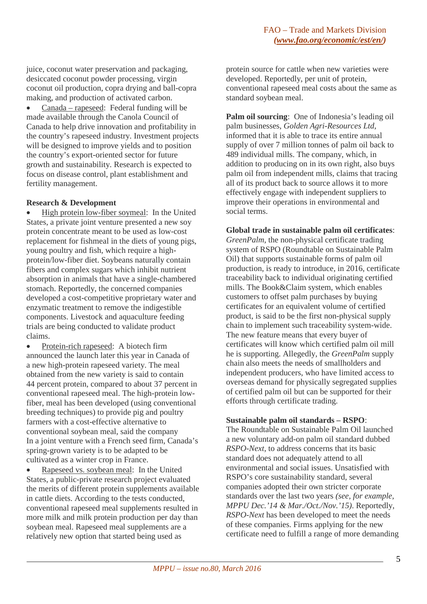juice, coconut water preservation and packaging, desiccated coconut powder processing, virgin coconut oil production, copra drying and ball-copra making, and production of activated carbon.

• Canada – rapeseed: Federal funding will be made available through the Canola Council of Canada to help drive innovation and profitability in the country's rapeseed industry. Investment projects will be designed to improve yields and to position the country's export-oriented sector for future growth and sustainability. Research is expected to focus on disease control, plant establishment and fertility management.

#### **Research & Development**

• High protein low-fiber soymeal: In the United States, a private joint venture presented a new soy protein concentrate meant to be used as low-cost replacement for fishmeal in the diets of young pigs, young poultry and fish, which require a highprotein/low-fiber diet. Soybeans naturally contain fibers and complex sugars which inhibit nutrient absorption in animals that have a single-chambered stomach. Reportedly, the concerned companies developed a cost-competitive proprietary water and enzymatic treatment to remove the indigestible components. Livestock and aquaculture feeding trials are being conducted to validate product claims.

• Protein-rich rapeseed: A biotech firm announced the launch later this year in Canada of a new high-protein rapeseed variety. The meal obtained from the new variety is said to contain 44 percent protein, compared to about 37 percent in conventional rapeseed meal. The high-protein lowfiber, meal has been developed (using conventional breeding techniques) to provide pig and poultry farmers with a cost-effective alternative to conventional soybean meal, said the company In a joint venture with a French seed firm, Canada's spring-grown variety is to be adapted to be cultivated as a winter crop in France.

• Rapeseed vs. soybean meal: In the United States, a public-private research project evaluated the merits of different protein supplements available in cattle diets. According to the tests conducted, conventional rapeseed meal supplements resulted in more milk and milk protein production per day than soybean meal. Rapeseed meal supplements are a relatively new option that started being used as

protein source for cattle when new varieties were developed. Reportedly, per unit of protein, conventional rapeseed meal costs about the same as standard soybean meal.

**Palm oil sourcing:** One of Indonesia's leading oil palm businesses, *Golden Agri-Resources Ltd*, informed that it is able to trace its entire annual supply of over 7 million tonnes of palm oil back to 489 individual mills. The company, which, in addition to producing on in its own right, also buys palm oil from independent mills, claims that tracing all of its product back to source allows it to more effectively engage with independent suppliers to improve their operations in environmental and social terms.

### **Global trade in sustainable palm oil certificates**:

*GreenPalm*, the non-physical certificate trading system of RSPO (Roundtable on Sustainable Palm Oil) that supports sustainable forms of palm oil production, is ready to introduce, in 2016, certificate traceability back to individual originating certified mills. The Book&Claim system, which enables customers to offset palm purchases by buying certificates for an equivalent volume of certified product, is said to be the first non-physical supply chain to implement such traceability system-wide. The new feature means that every buyer of certificates will know which certified palm oil mill he is supporting. Allegedly, the *GreenPalm* supply chain also meets the needs of smallholders and independent producers, who have limited access to overseas demand for physically segregated supplies of certified palm oil but can be supported for their efforts through certificate trading.

### **Sustainable palm oil standards – RSPO**:

The Roundtable on Sustainable Palm Oil launched a new voluntary add-on palm oil standard dubbed *RSPO-Next*, to address concerns that its basic standard does not adequately attend to all environmental and social issues. Unsatisfied with RSPO's core sustainability standard, several companies adopted their own stricter corporate standards over the last two years *(see, for example, MPPU Dec.'14 & Mar./Oct./Nov.'15)*. Reportedly, *RSPO-Next* has been developed to meet the needs of these companies. Firms applying for the new certificate need to fulfill a range of more demanding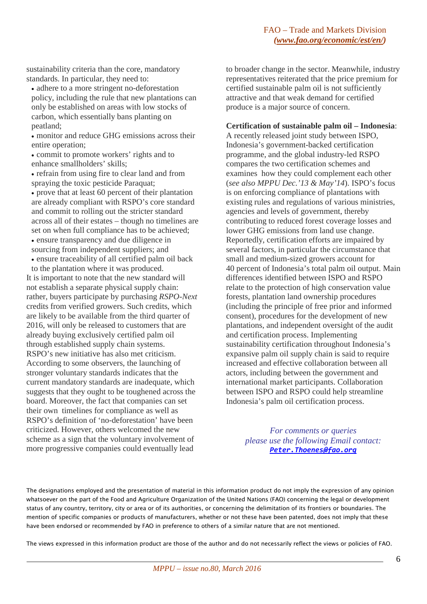sustainability criteria than the core, mandatory standards. In particular, they need to:

- adhere to a more stringent no-deforestation policy, including the rule that new plantations can only be established on areas with low stocks of carbon, which essentially bans planting on peatland;
- monitor and reduce GHG emissions across their entire operation;
- commit to promote workers' rights and to enhance smallholders' skills;
- refrain from using fire to clear land and from spraying the toxic pesticide Paraquat;
- prove that at least 60 percent of their plantation are already compliant with RSPO's core standard and commit to rolling out the stricter standard across all of their estates – though no timelines are set on when full compliance has to be achieved;
- ensure transparency and due diligence in sourcing from independent suppliers; and
- ensure traceability of all certified palm oil back to the plantation where it was produced.
- It is important to note that the new standard will not establish a separate physical supply chain: rather, buyers participate by purchasing *RSPO-Next* credits from verified growers. Such credits, which are likely to be available from the third quarter of 2016, will only be released to customers that are already buying exclusively certified palm oil through established supply chain systems. RSPO's new initiative has also met criticism. According to some observers, the launching of stronger voluntary standards indicates that the current mandatory standards are inadequate, which suggests that they ought to be toughened across the board. Moreover, the fact that companies can set their own timelines for compliance as well as RSPO's definition of 'no-deforestation' have been criticized. However, others welcomed the new scheme as a sign that the voluntary involvement of more progressive companies could eventually lead

to broader change in the sector. Meanwhile, industry representatives reiterated that the price premium for certified sustainable palm oil is not sufficiently attractive and that weak demand for certified produce is a major source of concern.

#### **Certification of sustainable palm oil – Indonesia**:

A recently released joint study between ISPO, Indonesia's government-backed certification programme, and the global industry-led RSPO compares the two certification schemes and examines how they could complement each other (*see also MPPU Dec.'13 & May'14*). ISPO's focus is on enforcing compliance of plantations with existing rules and regulations of various ministries, agencies and levels of government, thereby contributing to reduced forest coverage losses and lower GHG emissions from land use change. Reportedly, certification efforts are impaired by several factors, in particular the circumstance that small and medium-sized growers account for 40 percent of Indonesia's total palm oil output. Main differences identified between ISPO and RSPO relate to the protection of high conservation value forests, plantation land ownership procedures (including the principle of free prior and informed consent), procedures for the development of new plantations, and independent oversight of the audit and certification process. Implementing sustainability certification throughout Indonesia's expansive palm oil supply chain is said to require increased and effective collaboration between all actors, including between the government and international market participants. Collaboration between ISPO and RSPO could help streamline Indonesia's palm oil certification process.

*For comments or queries please use the following Email contact: [Peter.Thoenes@fao.org](mailto:Peter.Thoenes@fao.org)*

The designations employed and the presentation of material in this information product do not imply the expression of any opinion whatsoever on the part of the Food and Agriculture Organization of the United Nations (FAO) concerning the legal or development status of any country, territory, city or area or of its authorities, or concerning the delimitation of its frontiers or boundaries. The mention of specific companies or products of manufacturers, whether or not these have been patented, does not imply that these have been endorsed or recommended by FAO in preference to others of a similar nature that are not mentioned.

The views expressed in this information product are those of the author and do not necessarily reflect the views or policies of FAO.